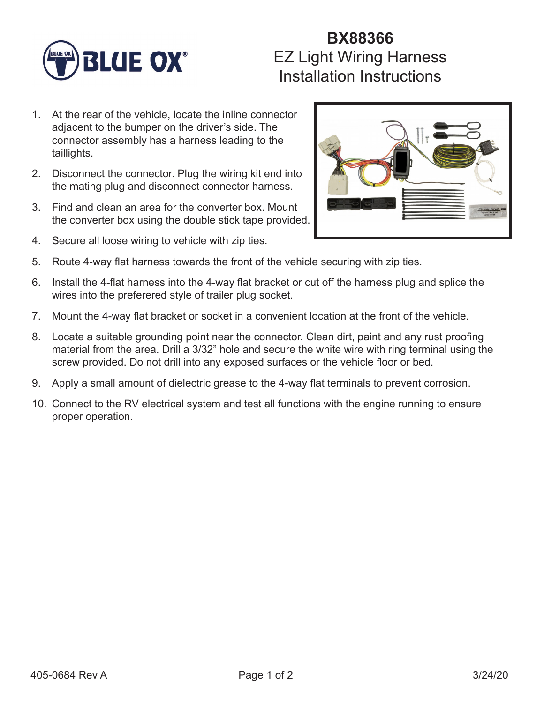

## **BX88366** EZ Light Wiring Harness Installation Instructions

- 1. At the rear of the vehicle, locate the inline connector adjacent to the bumper on the driver's side. The connector assembly has a harness leading to the taillights.
- 2. Disconnect the connector. Plug the wiring kit end into the mating plug and disconnect connector harness.
- 3. Find and clean an area for the converter box. Mount the converter box using the double stick tape provided.
- 4. Secure all loose wiring to vehicle with zip ties.



- 5. Route 4-way flat harness towards the front of the vehicle securing with zip ties.
- 6. Install the 4-flat harness into the 4-way flat bracket or cut off the harness plug and splice the wires into the preferered style of trailer plug socket.
- 7. Mount the 4-way flat bracket or socket in a convenient location at the front of the vehicle.
- 8. Locate a suitable grounding point near the connector. Clean dirt, paint and any rust proofing material from the area. Drill a 3/32" hole and secure the white wire with ring terminal using the screw provided. Do not drill into any exposed surfaces or the vehicle floor or bed.
- 9. Apply a small amount of dielectric grease to the 4-way flat terminals to prevent corrosion.
- 10. Connect to the RV electrical system and test all functions with the engine running to ensure proper operation.